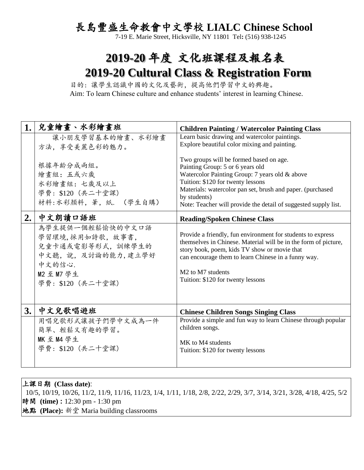## 長島豐盛生命教會中文學校 **LIALC Chinese School**

7-19 E. Marie Street, Hicksville, NY 11801 Tel**:** (516) 938-1245

## **2019-20** 年度 文化班課程及報名表 **2019-20 Cultural Class & Registration Form**

 目的: 讓學生認識中國的文化及藝術,提高他們學習中文的興趣。 Aim: To learn Chinese culture and enhance students' interest in learning Chinese.

| 1. | 兒童繪畫、水彩繪畫班                                                                                                                 | <b>Children Painting / Watercolor Painting Class</b>                                                                                                                                                                                                                                                                    |  |  |
|----|----------------------------------------------------------------------------------------------------------------------------|-------------------------------------------------------------------------------------------------------------------------------------------------------------------------------------------------------------------------------------------------------------------------------------------------------------------------|--|--|
|    | 讓小朋友學習基本的繪畫、水彩繪畫<br>方法, 享受美麗色彩的魅力。                                                                                         | Learn basic drawing and watercolor paintings.<br>Explore beautiful color mixing and painting.                                                                                                                                                                                                                           |  |  |
|    | 根據年齡分成兩組。<br>繪畫組:五或六歲<br>水彩繪畫組:七歲及以上<br>學費: \$120 (共二十堂課)<br>材料:水彩顏料,筆,紙. (學生自購)                                           | Two groups will be formed based on age.<br>Painting Group: 5 or 6 years old<br>Watercolor Painting Group: 7 years old & above<br>Tuition: \$120 for twenty lessons<br>Materials: watercolor pan set, brush and paper. (purchased<br>by students)<br>Note: Teacher will provide the detail of suggested supply list.     |  |  |
| 2. | 中文朗讀口語班                                                                                                                    | <b>Reading/Spoken Chinese Class</b>                                                                                                                                                                                                                                                                                     |  |  |
|    | 為學生提供一個輕鬆愉快的中文口語<br>學習環境,採用如詩歌,故事書,<br>兒童卡通或電影等形式, 訓練學生的<br>中文聽,說,及討論的能力,建立學好<br>中文的信心.<br>M2 至 M7 學生<br>學費: \$120 (共二十堂課) | Provide a friendly, fun environment for students to express<br>themselves in Chinese. Material will be in the form of picture,<br>story book, poem, kids TV show or movie that<br>can encourage them to learn Chinese in a funny way.<br>M <sub>2</sub> to M <sub>7</sub> students<br>Tuition: \$120 for twenty lessons |  |  |
| 3. | 中文兒歌唱遊班                                                                                                                    | <b>Chinese Children Songs Singing Class</b>                                                                                                                                                                                                                                                                             |  |  |
|    | 用唱兒歌形式讓孩子們學中文成為一件<br>簡單、輕鬆又有趣的學習。<br>MK 至 M4 學生<br>學費: \$120 (共二十堂課)                                                       | Provide a simple and fun way to learn Chinese through popular<br>children songs.<br>MK to M4 students<br>Tuition: \$120 for twenty lessons                                                                                                                                                                              |  |  |

上課日期 **(Class date)**: 10/5, 10/19, 10/26, 11/2, 11/9, 11/16, 11/23, 1/4, 1/11, 1/18, 2/8, 2/22, 2/29, 3/7, 3/14, 3/21, 3/28, 4/18, 4/25, 5/2 時間 **(time) :** 12:30 pm - 1:30 pm 地點 **(Place):** 新堂 Maria building classrooms